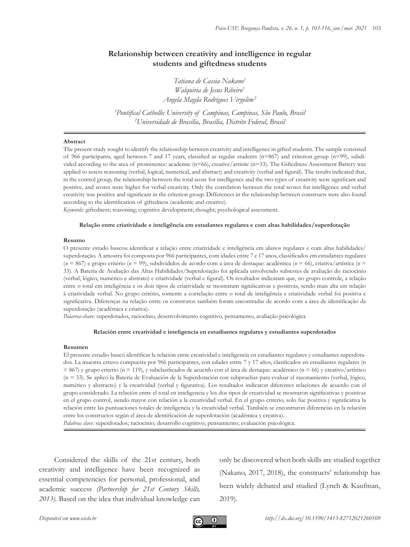# **Relationship between creativity and intelligence in regular students and giftedness students**

*Tatiana de Cassia Nakano1 Walquiria de Jesus Ribeiro1 Angela Magda Rodrigues Virgolim2*

*1 Pontifical Cathollic University of Campinas, Campinas, São Paulo, Brasil 2 Universidade de Brasília, Brasília, Distrito Federal, Brasil*

#### **Abstract**

The present study sought to identify the relationship between creativity and intelligence in gifted students. The sample consisted of 966 participants, aged between 7 and 17 years, classified as regular students (n=867) and criterion group (n=99), subdivided according to the area of prominence: academic (n=66), creative/artistic (n=33). The Giftedness Assessment Battery was applied to assess reasoning (verbal, logical, numerical, and abstract) and creativity (verbal and figural). The results indicated that, in the control group, the relationship between the total score for intelligence and the two types of creativity were significant and positive, and scores were higher for verbal creativity. Only the correlation between the total scores for intelligence and verbal creativity was positive and significant in the criterion group. Differences in the relationship between constructs were also found according to the identification of giftedness (academic and creative).

*Keywords:* giftedness; reasoning; cognitive development; thought; psychological assessment.

## **Relação entre criatividade e inteligência em estudantes regulares e com altas habilidades/superdotação**

## **Resumo**

O presente estudo buscou identificar a relação entre criatividade e inteligência em alunos regulares e com altas habilidades/ superdotação. A amostra foi composta por 966 participantes, com idades entre 7 e 17 anos, classificados em estudantes regulares (*n* = 867) e grupo critério (*n* = 99), subdivididos de acordo com a área de destaque: acadêmica (*n* = 66), criativa/artística (*n* = 33). A Bateria de Avaliação das Altas Habilidades/Superdotação foi aplicada envolvendo subtestes de avaliação do raciocínio (verbal, lógico, numérico e abstrato) e criatividade (verbal e figural). Os resultados indicaram que, no grupo controle, a relação entre o total em inteligência e os dois tipos de criatividade se mostraram significativas e positivas, sendo mais alta em relação à criatividade verbal. No grupo critério, somente a correlação entre o total de inteligência e criatividade verbal foi positiva e significativa. Diferenças na relação entre os construtos também foram encontradas de acordo com a área de identificação da superdotação (acadêmica e criativa).

*Palavras-chave:* superdotados, raciocínio, desenvolvimento cognitivo, pensamento, avaliação psicológica

### **Relación entre creatividad e inteligencia en estudiantes regulares y estudiantes superdotados**

#### **Resumen**

El presente estudio buscó identificar la relación entre creatividad e inteligencia en estudiantes regulares y estudiantes superdotados. La muestra estuvo compuesta por 966 participantes, con edades entre 7 y 17 años, clasificados en estudiantes regulares (n  $= 867$ ) y grupo criterio (n = 119), y subclasificados de acuerdo con el área de destaque: académico (n = 66) y creativo/artístico (n = 33). Se aplicó la Batería de Evaluación de la Superdotación con subpruebas para evaluar el razonamiento (verbal, lógico, numérico y abstracto) y la creatividad (verbal y figurativa). Los resultados indicaron diferentes relaciones de acuerdo con el grupo considerado. La relación entre el total en inteligencia y los dos tipos de creatividad se mostraron significativas y positivas en el grupo control, siendo mayor con relación a la creatividad verbal. En el grupo criterio, solo fue positiva y significativa la relación entre las puntuaciones totales de inteligencia y la creatividad verbal. También se encontraron diferencias en la relación entre los constructos según el área de identificación de superdotación (académica y creativa).

*Palabras clave:* superdotados; raciocinio; desarrollo cognitivo; pensamiento; evaluación psicológica.

Considered the skills of the 21st century, both creativity and intelligence have been recognized as essential competencies for personal, professional, and academic success *(Partnership for 21st Century Skills, 2013).* Based on the idea that individual knowledge can only be discovered when both skills are studied together (Nakano, 2017, 2018), the constructs' relationship has been widely debated and studied (Lynch & Kaufman, 2019).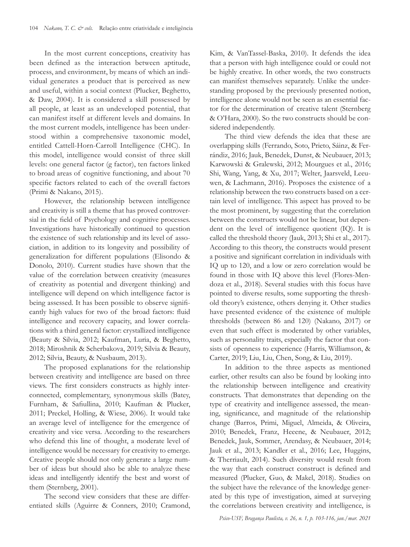In the most current conceptions, creativity has been defined as the interaction between aptitude, process, and environment, by means of which an individual generates a product that is perceived as new and useful, within a social context (Plucker, Beghetto, & Daw, 2004). It is considered a skill possessed by all people, at least as an undeveloped potential, that can manifest itself at different levels and domains. In the most current models, intelligence has been understood within a comprehensive taxonomic model, entitled Cattell-Horn-Carroll Intelligence (CHC). In this model, intelligence would consist of three skill levels: one general factor (g factor), ten factors linked to broad areas of cognitive functioning, and about 70 specific factors related to each of the overall factors (Primi & Nakano, 2015).

However, the relationship between intelligence and creativity is still a theme that has proved controversial in the field of Psychology and cognitive processes. Investigations have historically continued to question the existence of such relationship and its level of association, in addition to its longevity and possibility of generalization for different populations (Elisondo & Donolo, 2010). Current studies have shown that the value of the correlation between creativity (measures of creativity as potential and divergent thinking) and intelligence will depend on which intelligence factor is being assessed. It has been possible to observe significantly high values for two of the broad factors: fluid intelligence and recovery capacity, and lower correlations with a third general factor: crystallized intelligence (Beauty & Silvia, 2012; Kaufman, Luria, & Beghetto, 2018; Miroshnik & Scherbakova, 2019; Silvia & Beauty, 2012; Silvia, Beauty, & Nusbaum, 2013).

The proposed explanations for the relationship between creativity and intelligence are based on three views. The first considers constructs as highly interconnected, complementary, synonymous skills (Batey, Furnham, & Safiullina, 2010; Kaufman & Plucker, 2011; Preckel, Holling, & Wiese, 2006). It would take an average level of intelligence for the emergence of creativity and vice versa. According to the researchers who defend this line of thought, a moderate level of intelligence would be necessary for creativity to emerge. Creative people should not only generate a large number of ideas but should also be able to analyze these ideas and intelligently identify the best and worst of them (Sternberg, 2001).

The second view considers that these are differentiated skills (Aguirre & Conners, 2010; Cramond,

Kim, & VanTassel-Baska, 2010). It defends the idea that a person with high intelligence could or could not be highly creative. In other words, the two constructs can manifest themselves separately. Unlike the understanding proposed by the previously presented notion, intelligence alone would not be seen as an essential factor for the determination of creative talent (Sternberg & O'Hara, 2000). So the two constructs should be considered independently.

The third view defends the idea that these are overlapping skills (Ferrando, Soto, Prieto, Sáinz, & Ferrándiz, 2016; Jauk, Benedek, Dunst, & Neubauer, 2013; Karwowski & Gralewski, 2012; Mourgues et al., 2016; Shi, Wang, Yang, & Xu, 2017; Welter, Jaarsveld, Leeuwen, & Lachmann, 2016). Proposes the existence of a relationship between the two constructs based on a certain level of intelligence. This aspect has proved to be the most prominent, by suggesting that the correlation between the constructs would not be linear, but dependent on the level of intelligence quotient (IQ). It is called the threshold theory (Jauk, 2013; Shi et al., 2017). According to this theory, the constructs would present a positive and significant correlation in individuals with IQ up to 120, and a low or zero correlation would be found in those with IQ above this level (Flores-Mendoza et al., 2018). Several studies with this focus have pointed to diverse results, some supporting the threshold theory's existence, others denying it. Other studies have presented evidence of the existence of multiple thresholds (between 86 and 120) (Nakano, 2017) or even that such effect is moderated by other variables, such as personality traits, especially the factor that consists of openness to experience (Harris, Williamson, & Carter, 2019; Liu, Liu, Chen, Song, & Liu, 2019).

In addition to the three aspects as mentioned earlier, other results can also be found by looking into the relationship between intelligence and creativity constructs. That demonstrates that depending on the type of creativity and intelligence assessed, the meaning, significance, and magnitude of the relationship change (Barros, Primi, Miguel, Almeida, & Oliveira, 2010; Benedek, Franz, Heeene, & Neubauer, 2012; Benedek, Jauk, Sommer, Arendasy, & Neubauer, 2014; Jauk et al., 2013; Kandler et al., 2016; Lee, Huggins, & Therriault, 2014). Such diversity would result from the way that each construct construct is defined and measured (Plucker, Guo, & Makel, 2018). Studies on the subject have the relevance of the knowledge generated by this type of investigation, aimed at surveying the correlations between creativity and intelligence, is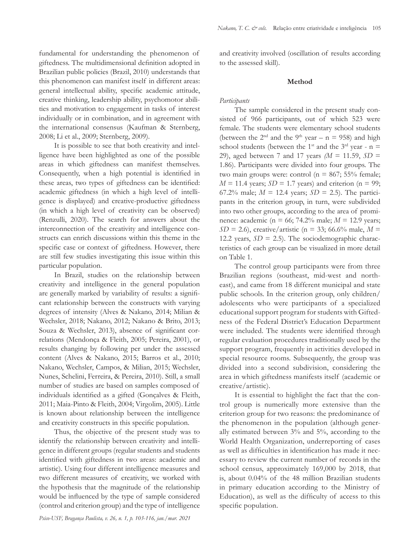fundamental for understanding the phenomenon of giftedness. The multidimensional definition adopted in Brazilian public policies (Brazil, 2010) understands that this phenomenon can manifest itself in different areas: general intellectual ability, specific academic attitude, creative thinking, leadership ability, psychomotor abilities and motivation to engagement in tasks of interest individually or in combination, and in agreement with the international consensus (Kaufman & Sternberg, 2008; Li et al., 2009; Sternberg, 2009).

It is possible to see that both creativity and intelligence have been highlighted as one of the possible areas in which giftedness can manifest themselves. Consequently, when a high potential is identified in these areas, two types of giftedness can be identified: academic giftedness (in which a high level of intelligence is displayed) and creative-productive giftedness (in which a high level of creativity can be observed) (Renzulli, 2020). The search for answers about the interconnection of the creativity and intelligence constructs can enrich discussions within this theme in the specific case or context of giftedness. However, there are still few studies investigating this issue within this particular population.

In Brazil, studies on the relationship between creativity and intelligence in the general population are generally marked by variability of results: a significant relationship between the constructs with varying degrees of intensity (Alves & Nakano, 2014; Milian & Wechsler, 2018; Nakano, 2012; Nakano & Brito, 2013; Souza & Wechsler, 2013), absence of significant correlations (Mendonça & Fleith, 2005; Pereira, 2001), or results changing by following per under the assessed content (Alves & Nakano, 2015; Barros et al., 2010; Nakano, Wechsler, Campos, & Milian, 2015; Wechsler, Nunes, Schelini, Ferreira, & Pereira, 2010). Still, a small number of studies are based on samples composed of individuals identified as a gifted (Gonçalves & Fleith, 2011; Maia-Pinto & Fleith, 2004; Virgolim, 2005). Little is known about relationship between the intelligence and creativity constructs in this specific population.

Thus, the objective of the present study was to identify the relationship between creativity and intelligence in different groups (regular students and students identified with giftedness in two areas: academic and artistic). Using four different intelligence measures and two different measures of creativity, we worked with the hypothesis that the magnitude of the relationship would be influenced by the type of sample considered (control and criterion group) and the type of intelligence and creativity involved (oscillation of results according to the assessed skill).

# **Method**

# *Participants*

The sample considered in the present study consisted of 966 participants, out of which 523 were female. The students were elementary school students (between the  $2<sup>nd</sup>$  and the  $9<sup>th</sup>$  year – n = 958) and high school students (between the 1<sup>st</sup> and the 3<sup>rd</sup> year - n = 29), aged between 7 and 17 years *(M* = 11.59, *SD* = 1.86). Participants were divided into four groups. The two main groups were: control ( $n = 867$ ; 55% female;  $M = 11.4$  years;  $SD = 1.7$  years) and criterion (n = 99; 67.2% male;  $M = 12.4$  years;  $SD = 2.5$ ). The participants in the criterion group, in turn, were subdivided into two other groups, according to the area of prominence: academic (n = 66; 74.2% male; *M* = 12.9 years; *SD* = 2.6), creative/artistic (n = 33; 66.6% male,  $M =$ 12.2 years,  $SD = 2.5$ ). The sociodemographic characteristics of each group can be visualized in more detail on Table 1.

The control group participants were from three Brazilian regions (southeast, mid-west and northeast), and came from 18 different municipal and state public schools. In the criterion group, only children/ adolescents who were participants of a specialized educational support program for students with Giftedness of the Federal District's Education Department were included. The students were identified through regular evaluation procedures traditionally used by the support program, frequently in activities developed in special resource rooms. Subsequently, the group was divided into a second subdivision, considering the area in which giftedness manifests itself (academic or creative/artistic).

It is essential to highlight the fact that the control group is numerically more extensive than the criterion group for two reasons: the predominance of the phenomenon in the population (although generally estimated between 3% and 5%, according to the World Health Organization, underreporting of cases as well as difficulties in identification has made it necessary to review the current number of records in the school census, approximately 169,000 by 2018, that is, about 0.04% of the 48 million Brazilian students in primary education according to the Ministry of Education), as well as the difficulty of access to this specific population.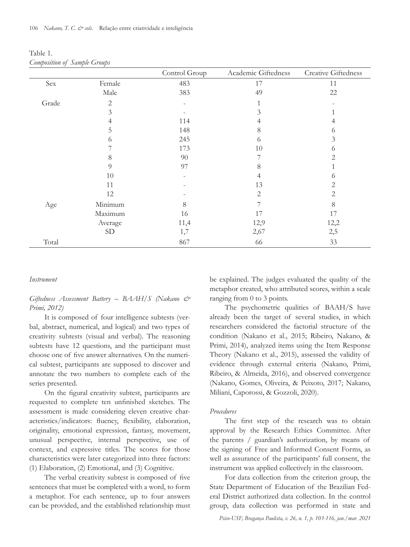| Table 1.                     |  |  |
|------------------------------|--|--|
| Composition of Sample Groups |  |  |

|       |              | Control Group | Academic Giftedness | Creative Giftedness |
|-------|--------------|---------------|---------------------|---------------------|
| Sex   | Female       | 483           | 17                  | 11                  |
|       | Male         | 383           | 49                  | 22                  |
| Grade | $\mathbf{2}$ |               |                     |                     |
|       | 3            |               | 3                   |                     |
|       |              | 114           | 4                   |                     |
|       | 5            | 148           | 8                   | 6                   |
|       | ♦            | 245           | 6                   | 3                   |
|       |              | 173           | 10                  | 6                   |
|       | 8            | 90            | 7                   | $\overline{2}$      |
|       | 9            | 97            | 8                   |                     |
|       | 10           |               | 4                   | 6                   |
|       | 11           |               | 13                  | 2                   |
|       | 12           |               | $\overline{2}$      | $\mathbf{2}$        |
| Age   | Minimum      | 8             |                     | 8                   |
|       | Maximum      | 16            | 17                  | 17                  |
|       | Average      | 11,4          | 12,9                | 12,2                |
|       | ${\rm SD}$   | 1,7           | 2,67                | 2,5                 |
| Total |              | 867           | 66                  | 33                  |

## *Instrument*

*Giftedness Assessment Battery – BAAH/S (Nakano & Primi, 2012)*

It is composed of four intelligence subtests (verbal, abstract, numerical, and logical) and two types of creativity subtests (visual and verbal). The reasoning subtests have 12 questions, and the participant must choose one of five answer alternatives. On the numerical subtest, participants are supposed to discover and annotate the two numbers to complete each of the series presented.

On the figural creativity subtest, participants are requested to complete ten unfinished sketches. The assessment is made considering eleven creative characteristics/indicators: fluency, flexibility, elaboration, originality, emotional expression, fantasy, movement, unusual perspective, internal perspective, use of context, and expressive titles. The scores for those characteristics were later categorized into three factors: (1) Elaboration, (2) Emotional, and (3) Cognitive.

The verbal creativity subtest is composed of five sentences that must be completed with a word, to form a metaphor. For each sentence, up to four answers can be provided, and the established relationship must be explained. The judges evaluated the quality of the metaphor created, who attributed scores, within a scale ranging from 0 to 3 points.

The psychometric qualities of BAAH/S have already been the target of several studies, in which researchers considered the factorial structure of the condition (Nakano et al., 2015; Ribeiro, Nakano, & Primi, 2014), analyzed items using the Item Response Theory (Nakano et al., 2015), assessed the validity of evidence through external criteria (Nakano, Primi, Ribeiro, & Almeida, 2016), and observed convergence (Nakano, Gomes, Oliveira, & Peixoto, 2017; Nakano, Miliani, Caporossi, & Gozzoli, 2020).

## *Procedures*

The first step of the research was to obtain approval by the Research Ethics Committee. After the parents / guardian's authorization, by means of the signing of Free and Informed Consent Forms, as well as assurance of the participants' full consent, the instrument was applied collectively in the classroom.

For data collection from the criterion group, the State Department of Education of the Brazilian Federal District authorized data collection. In the control group, data collection was performed in state and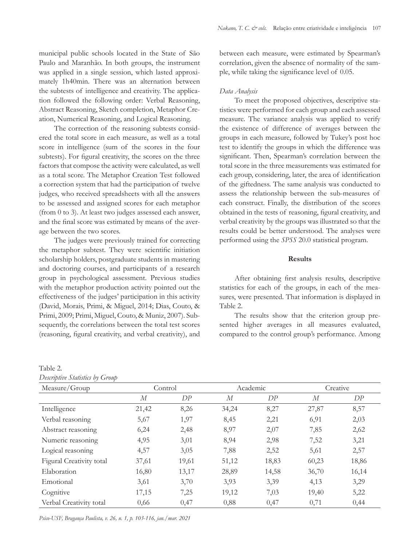municipal public schools located in the State of São Paulo and Maranhão. In both groups, the instrument was applied in a single session, which lasted approximately 1h40min. There was an alternation between the subtests of intelligence and creativity. The application followed the following order: Verbal Reasoning, Abstract Reasoning, Sketch completion, Metaphor Creation, Numerical Reasoning, and Logical Reasoning.

The correction of the reasoning subtests considered the total score in each measure, as well as a total score in intelligence (sum of the scores in the four subtests). For figural creativity, the scores on the three factors that compose the activity were calculated, as well as a total score. The Metaphor Creation Test followed a correction system that had the participation of twelve judges, who received spreadsheets with all the answers to be assessed and assigned scores for each metaphor (from 0 to 3). At least two judges assessed each answer, and the final score was estimated by means of the average between the two scores.

The judges were previously trained for correcting the metaphor subtest. They were scientific initiation scholarship holders, postgraduate students in mastering and doctoring courses, and participants of a research group in psychological assessment. Previous studies with the metaphor production activity pointed out the effectiveness of the judges' participation in this activity (David, Morais, Primi, & Miguel, 2014; Dias, Couto, & Primi, 2009; Primi, Miguel, Couto, & Muniz, 2007). Subsequently, the correlations between the total test scores (reasoning, figural creativity, and verbal creativity), and

| Table 2.                        |  |  |
|---------------------------------|--|--|
| Descriptive Statistics by Group |  |  |

between each measure, were estimated by Spearman's correlation, given the absence of normality of the sample, while taking the significance level of 0.05.

# *Data Analysis*

To meet the proposed objectives, descriptive statistics were performed for each group and each assessed measure. The variance analysis was applied to verify the existence of difference of averages between the groups in each measure, followed by Tukey's post hoc test to identify the groups in which the difference was significant. Then, Spearman's correlation between the total score in the three measurements was estimated for each group, considering, later, the area of identification of the giftedness. The same analysis was conducted to assess the relationship between the sub-measures of each construct. Finally, the distribution of the scores obtained in the tests of reasoning, figural creativity, and verbal creativity by the groups was illustrated so that the results could be better understood. The analyses were performed using the *SPSS* 20.0 statistical program.

# **Results**

After obtaining first analysis results, descriptive statistics for each of the groups, in each of the measures, were presented. That information is displayed in Table 2.

The results show that the criterion group presented higher averages in all measures evaluated, compared to the control group's performance. Among

| Measure/Group            | Control |       | Academic |       | Creative |       |
|--------------------------|---------|-------|----------|-------|----------|-------|
|                          | М       | DР    | М        | DP    | М        | DP    |
| Intelligence             | 21,42   | 8,26  | 34,24    | 8,27  | 27,87    | 8,57  |
| Verbal reasoning         | 5,67    | 1,97  | 8,45     | 2,21  | 6,91     | 2,03  |
| Abstract reasoning       | 6,24    | 2,48  | 8,97     | 2,07  | 7,85     | 2,62  |
| Numeric reasoning        | 4,95    | 3,01  | 8,94     | 2,98  | 7,52     | 3,21  |
| Logical reasoning        | 4,57    | 3,05  | 7,88     | 2,52  | 5,61     | 2,57  |
| Figural Creativity total | 37,61   | 19,61 | 51,12    | 18,83 | 60,23    | 18,86 |
| Elaboration              | 16,80   | 13,17 | 28,89    | 14,58 | 36,70    | 16,14 |
| Emotional                | 3,61    | 3,70  | 3,93     | 3,39  | 4,13     | 3,29  |
| Cognitive                | 17,15   | 7,25  | 19,12    | 7,03  | 19,40    | 5,22  |
| Verbal Creativity total  | 0,66    | 0,47  | 0,88     | 0,47  | 0,71     | 0,44  |

*Psico-USF, Bragança Paulista, v. 26, n. 1, p. 103-116, jan./mar. 2021*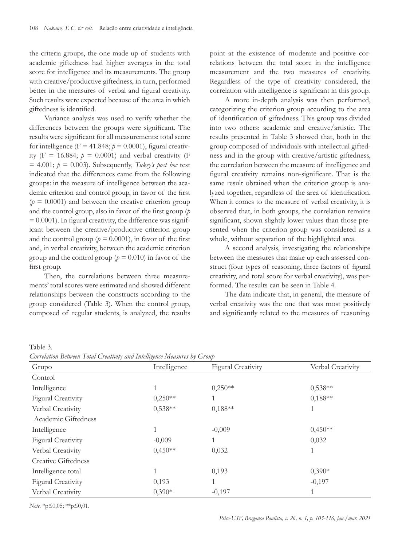the criteria groups, the one made up of students with academic giftedness had higher averages in the total score for intelligence and its measurements. The group with creative/productive giftedness, in turn, performed better in the measures of verbal and figural creativity. Such results were expected because of the area in which giftedness is identified.

Variance analysis was used to verify whether the differences between the groups were significant. The results were significant for all measurements: total score for intelligence  $(F = 41.848; p = 0.0001)$ , figural creativity (F = 16.884;  $p = 0.0001$ ) and verbal creativity (F  $= 4.001$ ;  $p = 0.003$ ). Subsequently, *Tukey's post hoc* test indicated that the differences came from the following groups: in the measure of intelligence between the academic criterion and control group, in favor of the first  $(p = 0.0001)$  and between the creative criterion group and the control group, also in favor of the first group (*p*  $= 0.0001$ ). In figural creativity, the difference was significant between the creative/productive criterion group and the control group ( $p = 0.0001$ ), in favor of the first and, in verbal creativity, between the academic criterion group and the control group ( $p = 0.010$ ) in favor of the first group.

Then, the correlations between three measurements' total scores were estimated and showed different relationships between the constructs according to the group considered (Table 3). When the control group, composed of regular students, is analyzed, the results

point at the existence of moderate and positive correlations between the total score in the intelligence measurement and the two measures of creativity. Regardless of the type of creativity considered, the correlation with intelligence is significant in this group.

A more in-depth analysis was then performed, categorizing the criterion group according to the area of identification of giftedness. This group was divided into two others: academic and creative/artistic. The results presented in Table 3 showed that, both in the group composed of individuals with intellectual giftedness and in the group with creative/artistic giftedness, the correlation between the measure of intelligence and figural creativity remains non-significant. That is the same result obtained when the criterion group is analyzed together, regardless of the area of identification. When it comes to the measure of verbal creativity, it is observed that, in both groups, the correlation remains significant, shown slightly lower values than those presented when the criterion group was considered as a whole, without separation of the highlighted area.

A second analysis, investigating the relationships between the measures that make up each assessed construct (four types of reasoning, three factors of figural creativity, and total score for verbal creativity), was performed. The results can be seen in Table 4.

The data indicate that, in general, the measure of verbal creativity was the one that was most positively and significantly related to the measures of reasoning.

Table 3*.*

*Correlation Between Total Creativity and Intelligence Measures by Group*

| Grupo                     | $\ldots$ = $\ldots$ $\ldots$ $\ldots$ $\ldots$ $\ldots$ $\ldots$<br>Intelligence | <b>Figural Creativity</b> | Verbal Creativity |  |  |
|---------------------------|----------------------------------------------------------------------------------|---------------------------|-------------------|--|--|
| Control                   |                                                                                  |                           |                   |  |  |
| Intelligence              |                                                                                  | $0,250**$                 | $0,538**$         |  |  |
| <b>Figural Creativity</b> | $0,250**$                                                                        |                           | $0,188**$         |  |  |
| Verbal Creativity         | $0,538**$                                                                        | $0,188**$                 |                   |  |  |
| Academic Giftedness       |                                                                                  |                           |                   |  |  |
| Intelligence              |                                                                                  | $-0,009$                  | $0,450**$         |  |  |
| <b>Figural Creativity</b> | $-0,009$                                                                         |                           | 0,032             |  |  |
| Verbal Creativity         | $0,450**$                                                                        | 0,032                     | 1                 |  |  |
| Creative Giftedness       |                                                                                  |                           |                   |  |  |
| Intelligence total        |                                                                                  |                           | $0,390*$          |  |  |
| <b>Figural Creativity</b> | 0,193                                                                            | 1                         | $-0,197$          |  |  |
| Verbal Creativity         | $0,390*$                                                                         | $-0,197$                  |                   |  |  |

*Note.* \*p≤0,05; \*\*p≤0,01.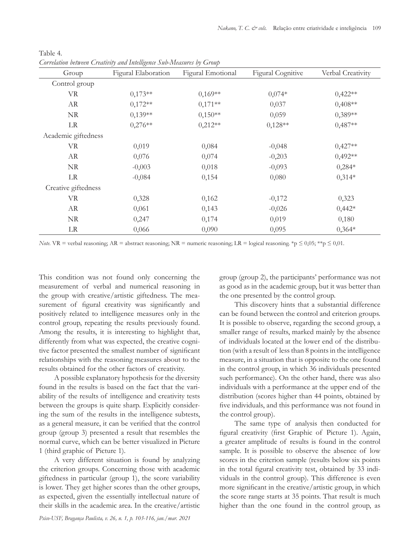| Group               | Figural Elaboration | Figural Emotional | <b>Figural Cognitive</b> | Verbal Creativity |
|---------------------|---------------------|-------------------|--------------------------|-------------------|
| Control group       |                     |                   |                          |                   |
| <b>VR</b>           | $0,173**$           | $0,169**$         | $0,074*$                 | $0,422**$         |
| AR                  | $0,172**$           | $0,171**$         | 0,037                    | $0,408**$         |
| NR                  | $0,139**$           | $0,150**$         | 0,059                    | $0,389**$         |
| LR                  | $0,276**$           | $0,212**$         | $0,128**$                | $0,487**$         |
| Academic giftedness |                     |                   |                          |                   |
| <b>VR</b>           | 0,019               | 0,084             | $-0,048$                 | $0,427**$         |
| AR                  | 0,076               | 0,074             | $-0,203$                 | $0,492**$         |
| NR                  | $-0,003$            | 0,018             | $-0,093$                 | $0,284*$          |
| LR                  | $-0,084$            | 0,154             | 0,080                    | $0,314*$          |
| Creative giftedness |                     |                   |                          |                   |
| <b>VR</b>           | 0,328               | 0,162             | $-0,172$                 | 0,323             |
| AR                  | 0,061               | 0,143             | $-0,026$                 | $0,442*$          |
| $\rm NR$            | 0,247               | 0,174             | 0,019                    | 0,180             |
| LR                  | 0,066               | 0,090             | 0,095                    | $0,364*$          |

Table 4*. Correlation between Creativity and Intelligence Sub-Measures by Group*

*Note.* VR = verbal reasoning; AR = abstract reasoning; NR = numeric reasoning; LR = logical reasoning. \*p ≤ 0,05; \*\*p ≤ 0,01.

This condition was not found only concerning the measurement of verbal and numerical reasoning in the group with creative/artistic giftedness. The measurement of figural creativity was significantly and positively related to intelligence measures only in the control group, repeating the results previously found. Among the results, it is interesting to highlight that, differently from what was expected, the creative cognitive factor presented the smallest number of significant relationships with the reasoning measures about to the results obtained for the other factors of creativity.

A possible explanatory hypothesis for the diversity found in the results is based on the fact that the variability of the results of intelligence and creativity tests between the groups is quite sharp. Explicitly considering the sum of the results in the intelligence subtests, as a general measure, it can be verified that the control group (group 3) presented a result that resembles the normal curve, which can be better visualized in Picture 1 (third graphic of Picture 1).

A very different situation is found by analyzing the criterion groups. Concerning those with academic giftedness in particular (group 1), the score variability is lower. They get higher scores than the other groups, as expected, given the essentially intellectual nature of their skills in the academic area. In the creative/artistic group (group 2), the participants' performance was not as good as in the academic group, but it was better than the one presented by the control group.

This discovery hints that a substantial difference can be found between the control and criterion groups. It is possible to observe, regarding the second group, a smaller range of results, marked mainly by the absence of individuals located at the lower end of the distribution (with a result of less than 8 points in the intelligence measure, in a situation that is opposite to the one found in the control group, in which 36 individuals presented such performance). On the other hand, there was also individuals with a performance at the upper end of the distribution (scores higher than 44 points, obtained by five individuals, and this performance was not found in the control group).

The same type of analysis then conducted for figural creativity (first Graphic of Picture 1). Again, a greater amplitude of results is found in the control sample. It is possible to observe the absence of low scores in the criterion sample (results below six points in the total figural creativity test, obtained by 33 individuals in the control group). This difference is even more significant in the creative/artistic group, in which the score range starts at 35 points. That result is much higher than the one found in the control group, as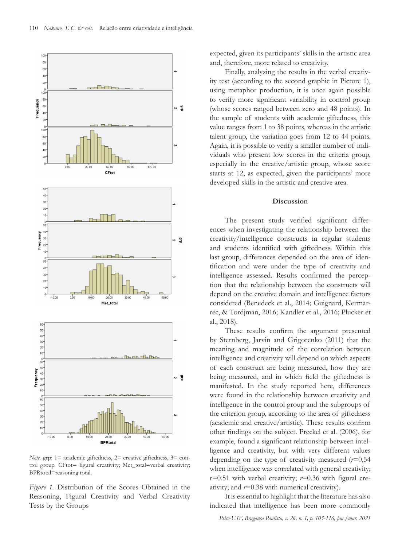

*Note.* grp: 1= academic giftedness, 2= creative giftedness, 3= control group. CFtot= figural creativity; Met\_total=verbal creativity; BPRtotal=reasoning total.

*Figure 1.* Distribution of the Scores Obtained in the Reasoning, Figural Creativity and Verbal Creativity Tests by the Groups

expected, given its participants' skills in the artistic area and, therefore, more related to creativity.

Finally, analyzing the results in the verbal creativity test (according to the second graphic in Picture 1), using metaphor production, it is once again possible to verify more significant variability in control group (whose scores ranged between zero and 48 points). In the sample of students with academic giftedness, this value ranges from 1 to 38 points, whereas in the artistic talent group, the variation goes from 12 to 44 points. Again, it is possible to verify a smaller number of individuals who present low scores in the criteria group, especially in the creative/artistic group, whose score starts at 12, as expected, given the participants' more developed skills in the artistic and creative area.

## **Discussion**

The present study verified significant differences when investigating the relationship between the creativity/intelligence constructs in regular students and students identified with giftedness. Within this last group, differences depended on the area of identification and were under the type of creativity and intelligence assessed. Results confirmed the perception that the relationship between the constructs will depend on the creative domain and intelligence factors considered (Benedeck et al., 2014; Guignard, Kermarrec, & Tordjman, 2016; Kandler et al., 2016; Plucker et al., 2018).

These results confirm the argument presented by Sternberg, Jarvin and Grigorenko (2011) that the meaning and magnitude of the correlation between intelligence and creativity will depend on which aspects of each construct are being measured, how they are being measured, and in which field the giftedness is manifested. In the study reported here, differences were found in the relationship between creativity and intelligence in the control group and the subgroups of the criterion group, according to the area of giftedness (academic and creative/artistic). These results confirm other findings on the subject. Preckel et al. (2006), for example, found a significant relationship between intelligence and creativity, but with very different values depending on the type of creativity measured (*r*=0,54 when intelligence was correlated with general creativity; r=0.51 with verbal creativity; *r*=0.36 with figural creativity; and  $r=0.38$  with numerical creativity).

It is essential to highlight that the literature has also indicated that intelligence has been more commonly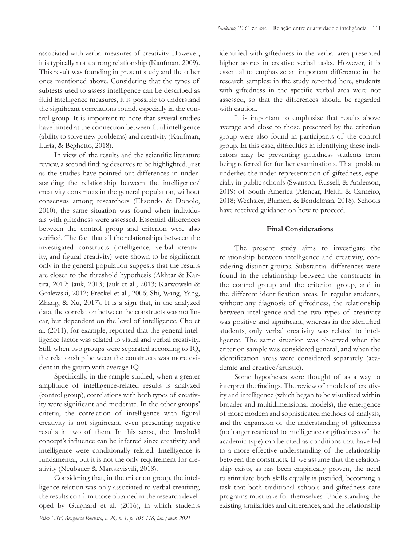associated with verbal measures of creativity. However, it is typically not a strong relationship (Kaufman, 2009). This result was founding in present study and the other ones mentioned above. Considering that the types of subtests used to assess intelligence can be described as fluid intelligence measures, it is possible to understand the significant correlations found, especially in the control group. It is important to note that several studies have hinted at the connection between fluid intelligence (ability to solve new problems) and creativity (Kaufman, Luria, & Beghetto, 2018).

In view of the results and the scientific literature review, a second finding deserves to be highlighted. Just as the studies have pointed out differences in understanding the relationship between the intelligence/ creativity constructs in the general population, without consensus among researchers (Elisondo & Donolo, 2010), the same situation was found when individuals with giftedness were assessed. Essential differences between the control group and criterion were also verified. The fact that all the relationships between the investigated constructs (intelligence, verbal creativity, and figural creativity) were shown to be significant only in the general population suggests that the results are closer to the threshold hypothesis (Akhtar & Kartira, 2019; Jauk, 2013; Jauk et al., 2013; Karwowski & Gralewski, 2012; Preckel et al., 2006; Shi, Wang, Yang, Zhang, & Xu, 2017). It is a sign that, in the analyzed data, the correlation between the constructs was not linear, but dependent on the level of intelligence. Cho et al. (2011), for example, reported that the general intelligence factor was related to visual and verbal creativity. Still, when two groups were separated according to IQ, the relationship between the constructs was more evident in the group with average IQ.

Specifically, in the sample studied, when a greater amplitude of intelligence-related results is analyzed (control group), correlations with both types of creativity were significant and moderate. In the other groups' criteria, the correlation of intelligence with figural creativity is not significant, even presenting negative results in two of them. In this sense, the threshold concept's influence can be inferred since creativity and intelligence were conditionally related. Intelligence is fundamental, but it is not the only requirement for creativity (Neubauer & Martskvisvili, 2018).

Considering that, in the criterion group, the intelligence relation was only associated to verbal creativity, the results confirm those obtained in the research developed by Guignard et al. (2016), in which students identified with giftedness in the verbal area presented higher scores in creative verbal tasks. However, it is essential to emphasize an important difference in the research samples: in the study reported here, students with giftedness in the specific verbal area were not assessed, so that the differences should be regarded with caution.

It is important to emphasize that results above average and close to those presented by the criterion group were also found in participants of the control group. In this case, difficulties in identifying these indicators may be preventing giftedness students from being referred for further examinations. That problem underlies the under-representation of giftedness, especially in public schools (Swanson, Russell, & Anderson, 2019) of South America (Alencar, Fleith, & Carneiro, 2018; Wechsler, Blumen, & Bendelman, 2018). Schools have received guidance on how to proceed.

## **Final Considerations**

The present study aims to investigate the relationship between intelligence and creativity, considering distinct groups. Substantial differences were found in the relationship between the constructs in the control group and the criterion group, and in the different identification areas. In regular students, without any diagnosis of giftedness, the relationship between intelligence and the two types of creativity was positive and significant, whereas in the identified students, only verbal creativity was related to intelligence. The same situation was observed when the criterion sample was considered general, and when the identification areas were considered separately (academic and creative/artistic).

Some hypotheses were thought of as a way to interpret the findings. The review of models of creativity and intelligence (which began to be visualized within broader and multidimensional models), the emergence of more modern and sophisticated methods of analysis, and the expansion of the understanding of giftedness (no longer restricted to intelligence or giftedness of the academic type) can be cited as conditions that have led to a more effective understanding of the relationship between the constructs. If we assume that the relationship exists, as has been empirically proven, the need to stimulate both skills equally is justified, becoming a task that both traditional schools and giftedness care programs must take for themselves. Understanding the existing similarities and differences, and the relationship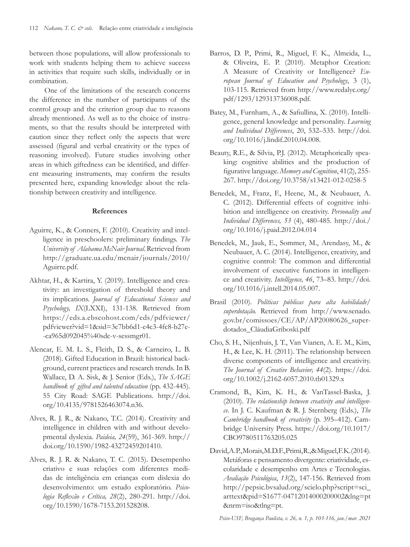between those populations, will allow professionals to work with students helping them to achieve success in activities that require such skills, individually or in combination.

One of the limitations of the research concerns the difference in the number of participants of the control group and the criterion group due to reasons already mentioned. As well as to the choice of instruments, so that the results should be interpreted with caution since they reflect only the aspects that were assessed (figural and verbal creativity or the types of reasoning involved). Future studies involving other areas in which giftedness can be identified, and different measuring instruments, may confirm the results presented here, expanding knowledge about the relationship between creativity and intelligence.

# **References**

- Aguirre, K., & Conners, F. (2010). Creativity and intelligence in preschoolers: preliminary findings. *The University of Alabama McNair Journal*. Retrieved from http://graduate.ua.edu/mcnair/journals/2010/ Aguirre.pdf.
- Akhtar, H., & Kartira, Y. (2019). Intelligence and creativity: an investigation of threshold theory and its implications. *Journal of Educational Sciences and Psychology, IX*(LXXI), 131-138. Retrieved from https://eds.a.ebscohost.com/eds/pdfviewer/ pdfviewer?vid=1&sid=3c7bb6d1-e4c3-4fc8-b27e- -ca965d092045%40sdc-v-sessmgr01.
- Alencar, E. M. L. S., Fleith, D. S., & Carneiro, L. B. (2018). Gifted Education in Brazil: historical background, current practices and research trends. In B. Wallace, D. A. Sisk, & J. Senior (Eds.), *The SAGE handbook of gifted and talented education* (pp. 432-445). 55 City Road: SAGE Publications. http://doi. org/10.4135/9781526463074.n36.
- Alves, R. J. R., & Nakano, T.C. (2014). Creativity and intelligence in children with and without developmental dyslexia. *Paideia, 24*(59), 361-369. http:// doi.org/10.1590/1982-43272459201410.
- Alves, R. J. R. & Nakano, T. C. (2015). Desempenho criativo e suas relações com diferentes medidas de inteligência em crianças com dislexia do desenvolvimento: um estudo exploratório. *Psicologia Reflexão e Crítica, 28*(2), 280-291. http://doi. org/10.1590/1678-7153.201528208.
- Barros, D. P., Primi, R., Miguel, F. K., Almeida, L., & Oliveira, E. P. (2010). Metaphor Creation: A Measure of Creativity or Intelligence? *European Journal of Education and Psychology*, 3 (1), 103-115. Retrieved from http://www.redalyc.org/ pdf/1293/129313736008.pdf.
- Batey, M., Furnham, A., & Safiullina, X. (2010). Intelligence, general knowledge and personality. *Learning and Individual Differences*, 20, 532–535. http://doi. org/10.1016/j.lindif.2010.04.008.
- Beauty, R.E., & Silvia, P.J. (2012). Metaphorically speaking: cognitive abilities and the production of figurative language. *Memory and Cognition*, 41(2), 255- 267. http://doi.org/10.3758/s13421-012-0258-5
- Benedek, M., Franz, F., Heene, M., & Neubauer, A. C. (2012). Differential effects of cognitive inhibition and intelligence on creativity. *Personality and Individual Differences, 53* (4), 480-485. http://doi./ org/10.1016/j.paid.2012.04.014
- Benedek, M., Jauk, E., Sommer, M., Arendasy, M., & Neubauer, A. C. (2014). Intelligence, creativity, and cognitive control: The common and differential involvement of executive functions in intelligence and creativity. *Intelligence, 46*, 73–83. http://doi. org/10.1016/j.intell.2014.05.007.
- Brasil (2010). *Políticas públicas para alta habilidade/ superdotação.* Retrieved from http://www.senado. gov.br/comissoes/CE/AP/AP20080626\_superdotados\_CláudiaGriboski.pdf
- Cho, S. H., Nijenhuis, J. T., Van Vianen, A. E. M., Kim, H., & Lee, K. H. (2011). The relationship between diverse components of intelligence and creativity. *The Journal of Creative Behavior, 44*(2). https://doi. org/10.1002/j.2162-6057.2010.tb01329.x
- Cramond, B., Kim, K. H., & VanTassel-Baska, J. (2010). *The relationship between creativity and intelligence.* In J. C. Kaufman & R. J. Sternberg (Eds.), *The Cambridge handbook of creativity* (p. 395–412). Cambridge University Press. https://doi.org/10.1017/ CBO9780511763205.025
- David, A. P., Morais, M. D. F., Primi, R., & Miguel, F. K. (2014). Metáforas e pensamento divergente: criatividade, escolaridade e desempenho em Artes e Tecnologias. *Avaliação Psicológica*, *13*(2), 147-156. Retrieved from http://pepsic.bvsalud.org/scielo.php?script=sci\_ arttext&pid=S1677-04712014000200002&lng=pt &nrm=iso&tlng=pt.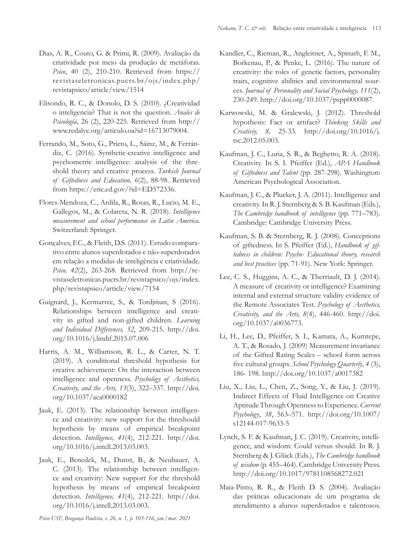- Dias, A. R., Couto, G. & Primi, R. (2009). Avaliação da criatividade por meio da produção de metáforas. *Psico*, 40 (2), 210-210. Retrieved from https:// revistaseletronicas.pucrs.br/ojs/index.php/ revistapsico/article/view/1514
- Elisondo, R. C., & Donolo, D. S. (2010). ¿Creatividad o inteligencia? That is not the question. *Anales de Psicología*, 26 (2), 220-225. Retrieved from http:// www.redalyc.org/articulo.oa?id=16713079004.
- Ferrando, M., Soto, G., Prieto, L., Sáinz, M., & Ferrándiz, C. (2016). Synthetic-creative intelligence and psychometric intelligence: analysis of the threshold theory and creative process. *Turkish Journal of Giftedness and Education, 6*(2), 88-98. Retrieved from https://eric.ed.gov/?id=ED572336.
- Flores-Mendoza, C., Ardila, R., Rosas, R., Lucio, M. E., Gallegos, M., & Colareta, N. R. (2018). *Intelligence measurement and school performance in Latin America*. Switzerland: Springer.
- Gonçalves, F.C., & Fleith, D.S. (2011). Estudo comparativo entre alunos superdotados e não-superdotados em relação a medidas de inteligência e criatividade. *Psico, 42*(2), 263-268. Retrieved from http://revistaseletronicas.pucrs.br/revistapsico/ojs/index. php/revistapsico/article/view/7154
- Guignard, J., Kermarrec, S., & Tordjman, S (2016). Relationships between intelligence and creativity in gifted and non-gifted children. *Learning and Individual Differences, 52*, 209-215. http://doi. org/10.1016/j.lindif.2015.07.006
- Harris, A. M., Williamson, R. L., & Carter, N. T. (2019). A conditional threshold hypothesis for creative achievement: On the interaction between intelligence and openness. *Psychology of Aesthetics, Creativity, and the Arts, 13*(3), 322–337. http://doi. org/10.1037/aca0000182
- Jauk, E. (2013). The relationship between intelligence and creativity: new support for the threshould hypothesis by means of empirical breakpoint detection. *Intelligence, 41*(4), 212-221. http://doi. org/10.1016/j.intell.2013.03.003.
- Jauk, E., Benedek, M., Dunst, B., & Neubauer, A. C. (2013). The relationship between intelligence and creativity: New support for the threshold hypothesis by means of empirical breakpoint detection. *Intelligence, 41*(4), 212-221. http://doi. org/10.1016/j.intell.2013.03.003.
- Kandler, C., Rieman, R., Angleitner, A., Spinath, F. M., Borkenau, P., & Penke, L. (2016). The nature of creativity: the roles of genetic factors, personality traits, cognitive abilities and environmental sources. *Journal of Personality and Social Psychology, 111*(2), 230-249. http://doi.org/10.1037/pspp0000087.
- Karwowski, M. & Gralewski, J. (2012). Threshold hypothesis: Fact or artifact? *Thinking Skills and Creativiy, 8,* 25-33. http://doi.org/10.1016/j. tsc.2012.05.003.
- Kaufman, J. C., Luria, S. R., & Beghetto, R. A. (2018). Creativity. In S. I. Pfeiffer (Ed.), *APA Handbook of Giftedness and Talent* (pp. 287-298). Washington: American Psychological Association.
- Kaufman, J. C., & Plucker, J. A. (2011). Intelligence and creativity. In R. J. Sternberg & S. B. Kaufman (Eds.), *The Cambridge handbook of intelligence* (pp. 771–783). Cambridge: Cambridge University Press.
- Kaufman, S. B. & Sternberg, R. J. (2008). Conceptions of giftedness. In S. Pfeiffer (Ed.), *Handbook of giftedness in children: Psycho- Educational theory, research and best practices* (pp. 71-91). New York: Springer.
- Lee, C. S., Huggins, A. C., & Therriault, D. J. (2014). A measure of creativity or intelligence? Examining internal and external structure validity evidence of the Remote Associates Test. *Psychology of Aesthetics, Creativity, and the Arts, 8*(4), 446-460. http://doi. org/10.1037/a0036773.
- Li, H., Lee, D., Pfeiffer, S. I., Kamata, A., Kumtepe, A. T., & Rosado, J. (2009) Measurement invariance of the Gifted Rating Scales – school form across five cultural groups. *School Psychology Quarterly*, *4* (3), 186- 198. http://doi.org/10.1037/a0017382
- Liu, X., Liu, L., Chen, Z., Song, Y., & Liu, J*.* (2019). Indirect Effects of Fluid Intelligence on Creative Aptitude Through Openness to Experience. *Current Psychology*, *38*, 563–571. http://doi.org/10.1007/ s12144-017-9633-5
- Lynch, S. F. & Kaufman, J. C. (2019). Creativity, intelligence, and wisdom: Could versus should. In R. J. Sternberg & J. Glück (Eds.), *The Cambridge handbook of wisdom* (p. 455–464). Cambridge University Press. http://doi.org/10.1017/9781108568272.021
- Maia-Pinto, R. R., & Fleith D. S. (2004). Avaliação das práticas educacionais de um programa de atendimento a alunos superdotados e talentosos.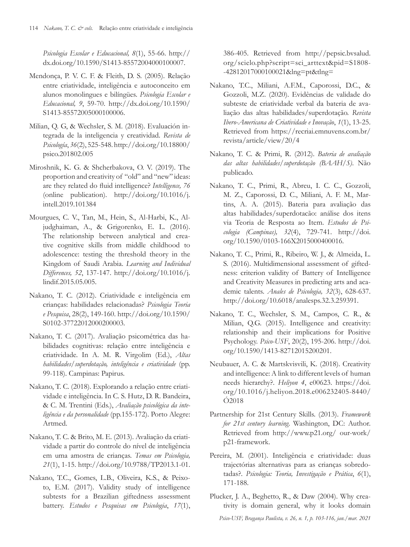*Psicologia Escolar e Educacional, 8*(1), 55-66. http:// dx.doi.org/10.1590/S1413-85572004000100007.

- Mendonça, P. V. C. F. & Fleith, D. S. (2005). Relação entre criatividade, inteligência e autoconceito em alunos monolingues e bilíngües. *Psicologia Escolar e Educacional, 9*, 59-70. http://dx.doi.org/10.1590/ S1413-85572005000100006.
- Milian, Q. G, & Wechsler, S. M. (2018). Evaluación integrada de la inteligencia y creatividad. *Revista de Psicología*, *36*(2), 525-548. http://doi.org/10.18800/ psico.201802.005
- Miroshnik, K. G. & Shcherbakova, O. V. (2019). The proportion and creativity of "old" and "new" ideas: are they related do fluid intelligence? *Intelligence, 76* (online publication). http://doi.org/10.1016/j. intell.2019.101384
- Mourgues, C. V., Tan, M., Hein, S., Al-Harbi, K., Aljudghaiman, A., & Grigorenko, E. L. (2016). The relationship between analytical and creative cognitive skills from middle childhood to adolescence: testing the threshold theory in the Kingdom of Saudi Arabia. *Learning and Individual Differences, 52*, 137-147. http://doi.org/10.1016/j. lindif.2015.05.005.
- Nakano, T. C. (2012). Criatividade e inteligência em crianças: habilidades relacionadas? *Psicologia Teoria e Pesquisa*, 28(2), 149-160. http://doi.org/10.1590/ S0102-37722012000200003.
- Nakano, T. C. (2017). Avaliação psicométrica das habilidades cognitivas: relação entre inteligência e criatividade. In A. M. R. Virgolim (Ed.), *Altas habilidades/superdotação, inteligência e criatividade* (pp. 99-118). Campinas: Papirus.
- Nakano, T. C. (2018). Explorando a relação entre criatividade e inteligência. In C. S. Hutz, D. R. Bandeira, & C. M. Trentini (Eds.), *Avaliação psicológica da inteligência e da personalidade* (pp.155-172). Porto Alegre: Artmed.
- Nakano, T. C. & Brito, M. E. (2013). Avaliação da criatividade a partir do controle do nível de inteligência em uma amostra de crianças. *Temas em Psicologia, 21*(1), 1-15. http://doi.org/10.9788/TP2013.1-01.
- Nakano, T.C., Gomes, L.B., Oliveira, K.S., & Peixoto, E.M. (2017). Validity study of intelligence subtests for a Brazilian giftedness assessment battery. *Estudos e Pesquisas em Psicologia*, *17*(1),

386-405. Retrieved from http://pepsic.bvsalud. org/scielo.php?script=sci\_arttext&pid=S1808- -42812017000100021&lng=pt&tlng=

- Nakano, T.C., Miliani, A.F.M., Caporossi, D.C., & Gozzoli, M.Z. (2020). Evidências de validade do subteste de criatividade verbal da bateria de avaliação das altas habilidades/superdotação. *Revista Ibero-Americana de Criatividade e Inovação*, *1*(1), 13-25. Retrieved from https://recriai.emnuvens.com.br/ revista/article/view/20/4
- Nakano, T. C. & Primi, R. (2012). *Bateria de avaliação das altas habilidades/superdotação (BAAH/S)*. Não publicado.
- Nakano, T. C., Primi, R., Abreu, I. C. C., Gozzoli, M. Z., Caporossi, D. C., Miliani, A. F. M., Martins, A. A. (2015). Bateria para avaliação das altas habilidades/superdotacão: análise dos itens via Teoria de Resposta ao Item. *Estudos de Psicologia (Campinas), 32*(4), 729-741. http://doi. org/10.1590/0103-166X2015000400016.
- Nakano, T. C., Primi, R., Ribeiro, W. J., & Almeida, L. S. (2016). Multidimensional assessment of giftedness: criterion validity of Battery of Intelligence and Creativity Measures in predicting arts and academic talents. *Anales de Psicologia, 32*(3), 628-637. http://doi.org/10.6018/analesps.32.3.259391.
- Nakano, T. C., Wechsler, S. M., Campos, C. R., & Milian, Q.G. (2015). Intelligence and creativity: relationship and their implications for Positive Psychology. *Psico-USF*, 20(2), 195-206. http://doi. org/10.1590/1413-82712015200201.
- Neubauer, A. C. & Martskvisvili, K. (2018). Creativity and intelligence: A link to different levels of human needs hierarchy?. *Heliyon 4*, e00623. https://doi. org/10.1016/j.heliyon.2018.e006232405-8440/ Ó2018
- Partnership for 21st Century Skills. (2013). *Framework for 21st century learning*. Washington, DC: Author. Retrieved from http://www.p21.org/ our-work/ p21-framework.
- Pereira, M. (2001). Inteligência e criatividade: duas trajectórias alternativas para as crianças sobredotadas?. *Psicologia: Teoria, Investigação e Prática*, *6*(1), 171-188.
- Plucker, J. A., Beghetto, R., & Daw (2004). Why creativity is domain general, why it looks domain

*Psico-USF, Bragança Paulista, v. 26, n. 1, p. 103-116, jan./mar. 2021*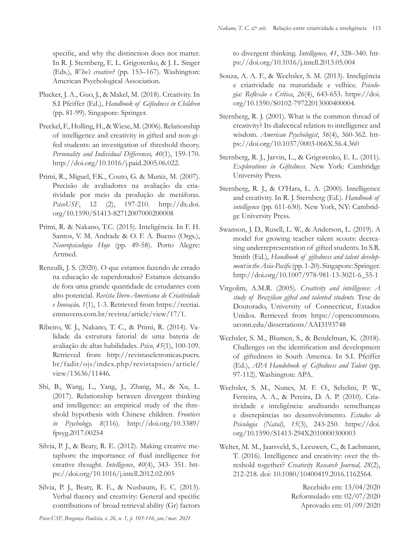specific, and why the distinction does not matter. In R. J. Sternberg, E. L. Grigorenko, & J. L. Singer (Eds.), *Who's creative?* (pp. 153–167). Washington: American Psychological Association.

- Plucker, J. A., Guo, J., & Makel, M. (2018). Creativity. In S.I Pfeiffer (Ed.), *Handbook of Giftedness in Children* (pp. 81-99). Singapore: Springer.
- Preckel, F., Holling, H., & Wiese, M. (2006). Relationship of intelligence and creativity in gifted and non-gifed students: an investigation of threshold theory. *Personality and Individual Differences, 40*(1), 159-170. http://doi.org/10.1016/j.paid.2005.06.022.
- Primi, R., Miguel, F.K., Couto, G. & Muniz, M. (2007). Precisão de avaliadores na avaliação da criatividade por meio da produção de metáforas. *PsicoUSF*, 12 (2), 197-210. http://dx.doi. org/10.1590/S1413-82712007000200008
- Primi, R. & Nakano, T.C. (2015). Inteligência. In F. H. Santos, V. M. Andrade & O. F. A. Bueno (Orgs.), *Neuropsicologia Hoje* (pp. 49-58). Porto Alegre: Artmed.
- Renzulli, J. S. (2020). O que estamos fazendo de errado na educação de superdotados? Estamos deixando de fora uma grande quantidade de estudantes com alto potencial. *Revista Ibero-Americana de Criatividade e Inovação, 1*(1), 1-3. Retrieved from https://recriai. emnuvens.com.br/revista/article/view/17/1.
- Ribeiro, W. J., Nakano, T. C., & Primi, R. (2014). Validade da estrutura fatorial de uma bateria de avaliação de altas habilidades. *Psico*, *45*(1), 100-109. Retrieved from http://revistaseletronicas.pucrs. br/fadir/ojs/index.php/revistapsico/article/ view/13636/11446.
- Shi, B., Wang, L., Yang, J., Zhang, M., & Xu, L. (2017). Relationship between divergent thinking and intelligence: an empirical study of the threshold hypothesis with Chinese children. *Frontiers in Psychology, 8*(116). http://doi.org/10.3389/ fpsyg.2017.00254
- Silvia, P. J., & Beaty, R. E. (2012). Making creative metaphors: the importance of fluid intelligence for creative thought. *Intelligence*, *40*(4), 343- 351. https://doi.org/10.1016/j.intell.2012.02.005
- Silvia, P. J., Beaty, R. E., & Nusbaum, E. C. (2013). Verbal fluency and creativity: General and specific contributions of broad retrieval ability (Gr) factors

to divergent thinking. *Intelligence, 41*, 328–340. https://doi.org/10.1016/j.intell.2013.05.004

- Souza, A. A. F., & Wechsler, S. M. (2013). Inteligência e criatividade na maturidade e velhice. *Psicologia: Reflexão e Crítica*, *26*(4), 643-653. https://doi. org/10.1590/S0102-79722013000400004.
- Sternberg, R. J. (2001). What is the common thread of creativity? Its dialectical relation to intelligence and wisdom. *American Psychologist*, *56*(4), 360-362. https://doi.org/10.1037/0003-066X.56.4.360
- Sternberg, R. J., Jarvin, L., & Grigorenko, E. L. (2011). *Explorations in Giftedness.* New York: Cambridge University Press.
- Sternberg, R. J., & O'Hara, L. A. (2000). Intelligence and creativity. In R. J. Sternberg (Ed.). *Handbook of intelligence* (pp. 611-630). New York, NY: Cambridge University Press.
- Swanson, J. D., Rusell, L. W., & Anderson, L. (2019). A model for growing teacher talent scouts: decreasing underrepresentation of gifted students. In S.R. Smith (Ed.), *Handbook of giftedness and talent development in the Asia-Pacific* (pp. 1-20). Singapore: Springer. http://doi.org/10.1007/978-981-13-3021-6\_55-1
- Virgolim, A.M.R. (2005). *Creativity and intelligence: A study of Brazilian gifted and talented students.* Tese de Doutorado, University of Connecticut, Estados Unidos. Retrieved from https://opencommons. uconn.edu/dissertations/AAI3193748
- Wechsler, S. M., Blumen, S., & Bendelman, K. (2018). Challenges on the identification and development of giftedness in South America. In S.I. Pfeiffer (Ed.), *APA Handobook of Giftedness and Talent* (pp. 97-112). Washington: APA.
- Wechsler, S. M., Nunes, M. F. O., Schelini, P. W., Ferreira, A. A., & Pereira, D. A. P. (2010). Criatividade e inteligência: analisando semelhanças e discrepâncias no desenvolvimento. *Estudos de Psicologia (Natal)*, *15*(3), 243-250. https://doi. org/10.1590/S1413-294X2010000300003
- Welter, M. M., Jaarsveld, S., Leeuwen, C., & Lachmann, T. (2016). Intelligence and creativity: over the threshold together? *Creativity Research Journal, 28*(2), 212-218. doi: 10.1080/10400419.2016.1162564.

Recebido em: 13/04/2020 Reformulado em: 02/07/2020 Aprovado em: 01/09/2020